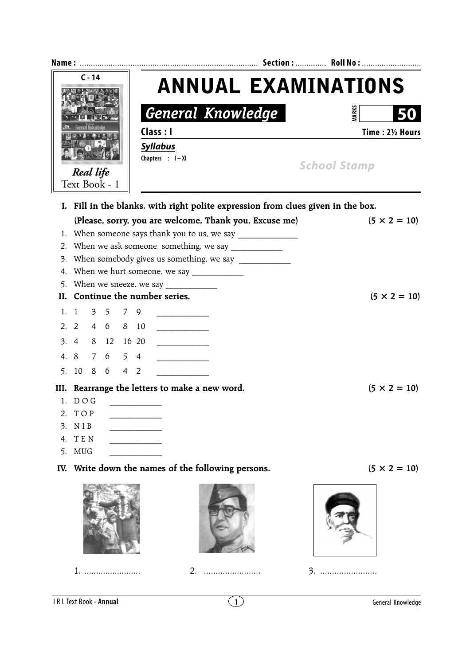| $C - 14$ |                                                        |  |      |  |                          | <b>ANNUAL EXAMINATIONS</b>                                                       |  |  |                     |              |                     |  |
|----------|--------------------------------------------------------|--|------|--|--------------------------|----------------------------------------------------------------------------------|--|--|---------------------|--------------|---------------------|--|
|          |                                                        |  |      |  | <b>General Knowledge</b> |                                                                                  |  |  |                     | <b>MARKS</b> |                     |  |
|          |                                                        |  |      |  | Class : I                |                                                                                  |  |  | Time: 21/2 Hours    |              |                     |  |
|          |                                                        |  |      |  |                          | <b>Syllabus</b>                                                                  |  |  |                     |              |                     |  |
|          |                                                        |  |      |  | Chapters : I-XI          |                                                                                  |  |  | <b>School Stamp</b> |              |                     |  |
|          | <b>Real life</b>                                       |  |      |  |                          |                                                                                  |  |  |                     |              |                     |  |
|          | Text Book - 1                                          |  |      |  |                          |                                                                                  |  |  |                     |              |                     |  |
|          |                                                        |  |      |  |                          | I. Fill in the blanks, with right polite expression from clues given in the box. |  |  |                     |              |                     |  |
|          |                                                        |  |      |  |                          | (Please, sorry, you are welcome, Thank you, Excuse me)                           |  |  |                     |              | $(5 \times 2 = 10)$ |  |
|          |                                                        |  |      |  |                          | When someone says thank you to us, we say                                        |  |  |                     |              |                     |  |
| 2.       | When we ask someone, something, we say _______________ |  |      |  |                          |                                                                                  |  |  |                     |              |                     |  |
| 3.       | When somebody gives us something, we say ___________   |  |      |  |                          |                                                                                  |  |  |                     |              |                     |  |
|          | 4. When we hurt someone, we say ______________         |  |      |  |                          |                                                                                  |  |  |                     |              |                     |  |
|          |                                                        |  |      |  |                          |                                                                                  |  |  |                     |              |                     |  |
|          | II. Continue the number series.<br>$(5 \times 2 = 10)$ |  |      |  |                          |                                                                                  |  |  |                     |              |                     |  |
|          | 1. 1 $3 \t 5 \t 7 \t 9$                                |  |      |  |                          |                                                                                  |  |  |                     |              |                     |  |
|          | 2. 2 4 6 8 10                                          |  |      |  |                          |                                                                                  |  |  |                     |              |                     |  |
|          | 3. 4 8 12 16 20                                        |  |      |  |                          |                                                                                  |  |  |                     |              |                     |  |
|          | 4. 8 7 6 5 4                                           |  |      |  |                          |                                                                                  |  |  |                     |              |                     |  |
|          | 5. 10 8 6 4 2                                          |  |      |  |                          |                                                                                  |  |  |                     |              |                     |  |
|          |                                                        |  |      |  |                          |                                                                                  |  |  |                     |              | $(5 \times 2 = 10)$ |  |
|          | $1.$ $D O G$                                           |  |      |  |                          | III. Rearrange the letters to make a new word.                                   |  |  |                     |              |                     |  |
| 2.       | TOP                                                    |  |      |  |                          |                                                                                  |  |  |                     |              |                     |  |
| 3.       | NIB                                                    |  |      |  |                          |                                                                                  |  |  |                     |              |                     |  |
| 4.       | TEN                                                    |  |      |  |                          |                                                                                  |  |  |                     |              |                     |  |
| 5.       | <b>MUG</b>                                             |  |      |  |                          |                                                                                  |  |  |                     |              |                     |  |
| IV.      |                                                        |  |      |  |                          | Write down the names of the following persons.                                   |  |  |                     |              | $(5 \times 2 = 10)$ |  |
|          |                                                        |  | $1.$ |  |                          |                                                                                  |  |  |                     |              |                     |  |